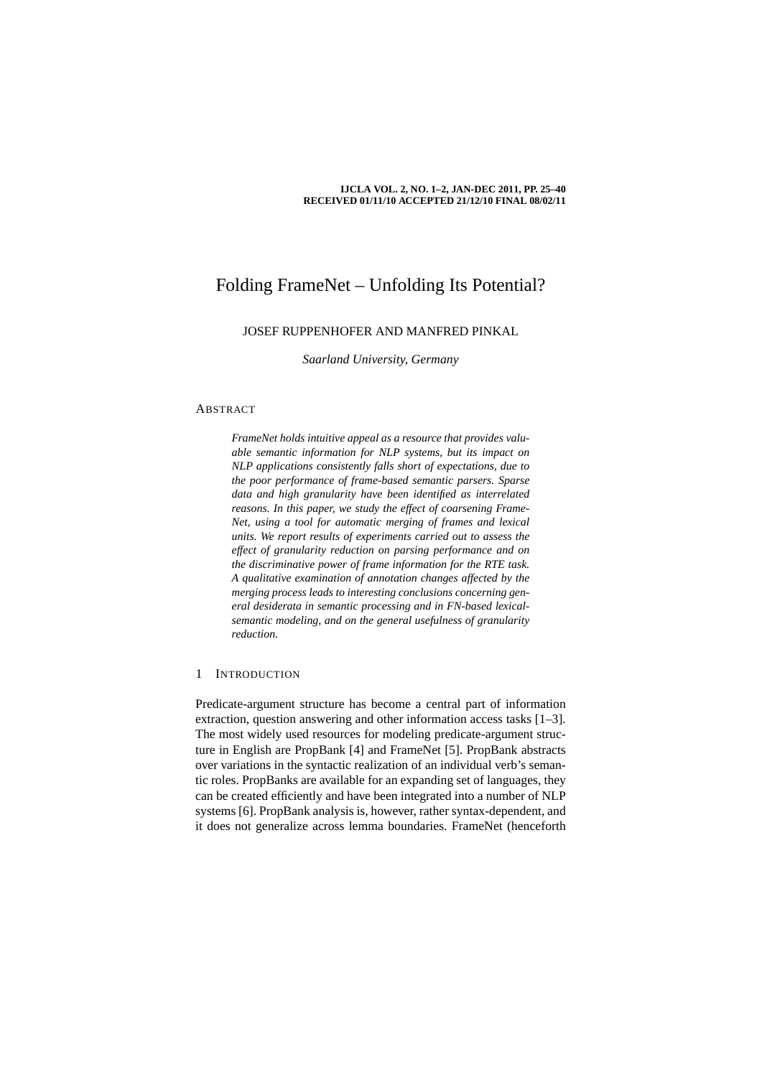#### **IJCLA VOL. 2, NO. 1–2, JAN-DEC 2011, PP. 25–40 RECEIVED 01/11/10 ACCEPTED 21/12/10 FINAL 08/02/11**

# Folding FrameNet – Unfolding Its Potential?

# JOSEF RUPPENHOFER AND MANFRED PINKAL

*Saarland University, Germany*

# ABSTRACT

*FrameNet holds intuitive appeal as a resource that provides valuable semantic information for NLP systems, but its impact on NLP applications consistently falls short of expectations, due to the poor performance of frame-based semantic parsers. Sparse data and high granularity have been identified as interrelated reasons. In this paper, we study the effect of coarsening Frame-Net, using a tool for automatic merging of frames and lexical units. We report results of experiments carried out to assess the effect of granularity reduction on parsing performance and on the discriminative power of frame information for the RTE task. A qualitative examination of annotation changes affected by the merging process leads to interesting conclusions concerning general desiderata in semantic processing and in FN-based lexicalsemantic modeling, and on the general usefulness of granularity reduction.*

#### 1 INTRODUCTION

Predicate-argument structure has become a central part of information extraction, question answering and other information access tasks [1–3]. The most widely used resources for modeling predicate-argument structure in English are PropBank [4] and FrameNet [5]. PropBank abstracts over variations in the syntactic realization of an individual verb's semantic roles. PropBanks are available for an expanding set of languages, they can be created efficiently and have been integrated into a number of NLP systems [6]. PropBank analysis is, however, rather syntax-dependent, and it does not generalize across lemma boundaries. FrameNet (henceforth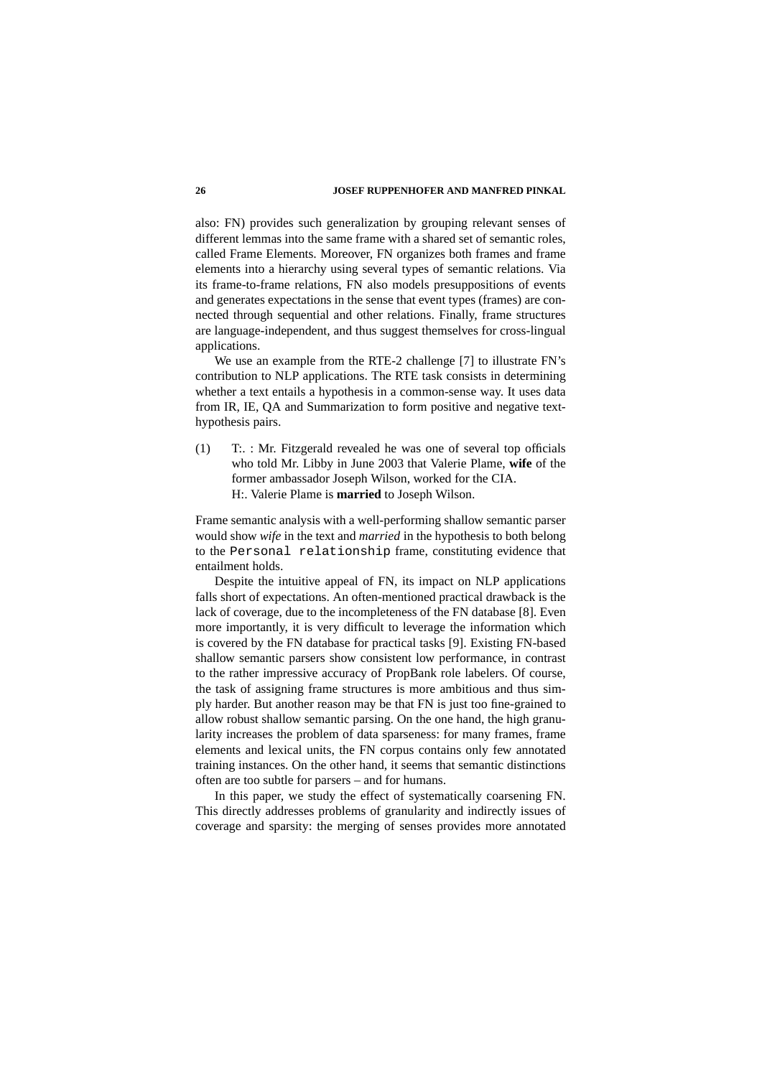### **26 JOSEF RUPPENHOFER AND MANFRED PINKAL**

also: FN) provides such generalization by grouping relevant senses of different lemmas into the same frame with a shared set of semantic roles, called Frame Elements. Moreover, FN organizes both frames and frame elements into a hierarchy using several types of semantic relations. Via its frame-to-frame relations, FN also models presuppositions of events and generates expectations in the sense that event types (frames) are connected through sequential and other relations. Finally, frame structures are language-independent, and thus suggest themselves for cross-lingual applications.

We use an example from the RTE-2 challenge [7] to illustrate FN's contribution to NLP applications. The RTE task consists in determining whether a text entails a hypothesis in a common-sense way. It uses data from IR, IE, QA and Summarization to form positive and negative texthypothesis pairs.

(1) T:. : Mr. Fitzgerald revealed he was one of several top officials who told Mr. Libby in June 2003 that Valerie Plame, **wife** of the former ambassador Joseph Wilson, worked for the CIA. H:. Valerie Plame is **married** to Joseph Wilson.

Frame semantic analysis with a well-performing shallow semantic parser would show *wife* in the text and *married* in the hypothesis to both belong to the Personal relationship frame, constituting evidence that entailment holds.

Despite the intuitive appeal of FN, its impact on NLP applications falls short of expectations. An often-mentioned practical drawback is the lack of coverage, due to the incompleteness of the FN database [8]. Even more importantly, it is very difficult to leverage the information which is covered by the FN database for practical tasks [9]. Existing FN-based shallow semantic parsers show consistent low performance, in contrast to the rather impressive accuracy of PropBank role labelers. Of course, the task of assigning frame structures is more ambitious and thus simply harder. But another reason may be that FN is just too fine-grained to allow robust shallow semantic parsing. On the one hand, the high granularity increases the problem of data sparseness: for many frames, frame elements and lexical units, the FN corpus contains only few annotated training instances. On the other hand, it seems that semantic distinctions often are too subtle for parsers – and for humans.

In this paper, we study the effect of systematically coarsening FN. This directly addresses problems of granularity and indirectly issues of coverage and sparsity: the merging of senses provides more annotated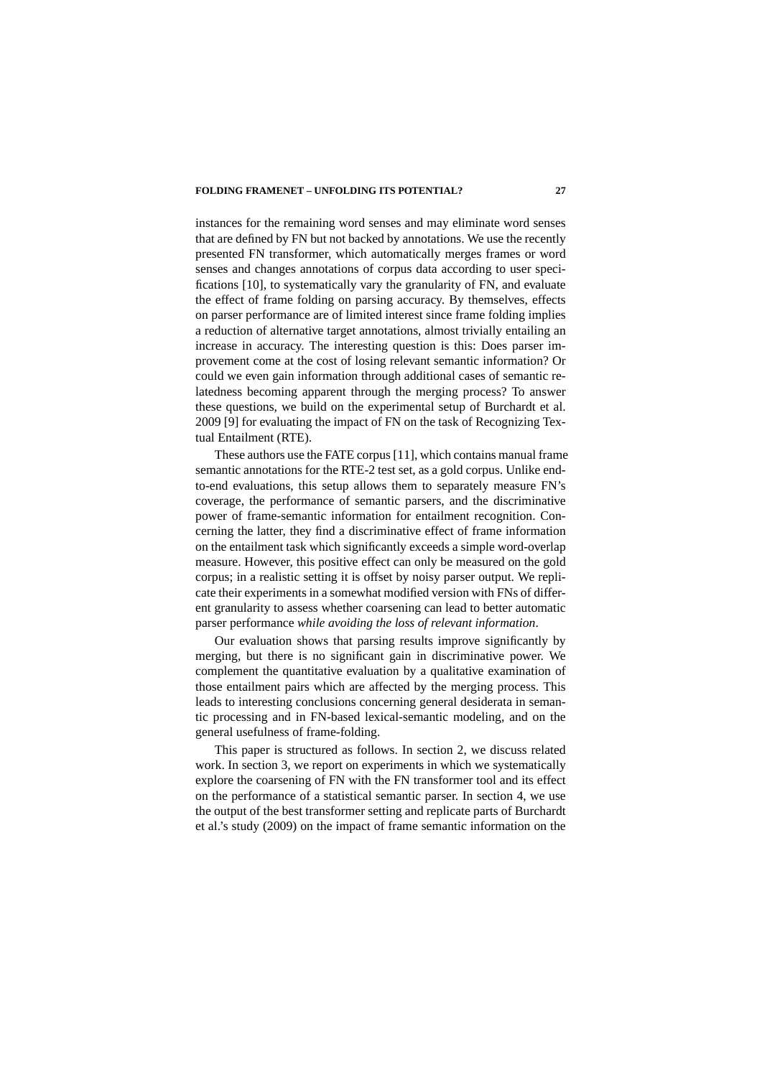instances for the remaining word senses and may eliminate word senses that are defined by FN but not backed by annotations. We use the recently presented FN transformer, which automatically merges frames or word senses and changes annotations of corpus data according to user specifications [10], to systematically vary the granularity of FN, and evaluate the effect of frame folding on parsing accuracy. By themselves, effects on parser performance are of limited interest since frame folding implies a reduction of alternative target annotations, almost trivially entailing an increase in accuracy. The interesting question is this: Does parser improvement come at the cost of losing relevant semantic information? Or could we even gain information through additional cases of semantic relatedness becoming apparent through the merging process? To answer these questions, we build on the experimental setup of Burchardt et al. 2009 [9] for evaluating the impact of FN on the task of Recognizing Textual Entailment (RTE).

These authors use the FATE corpus [11], which contains manual frame semantic annotations for the RTE-2 test set, as a gold corpus. Unlike endto-end evaluations, this setup allows them to separately measure FN's coverage, the performance of semantic parsers, and the discriminative power of frame-semantic information for entailment recognition. Concerning the latter, they find a discriminative effect of frame information on the entailment task which significantly exceeds a simple word-overlap measure. However, this positive effect can only be measured on the gold corpus; in a realistic setting it is offset by noisy parser output. We replicate their experiments in a somewhat modified version with FNs of different granularity to assess whether coarsening can lead to better automatic parser performance *while avoiding the loss of relevant information*.

Our evaluation shows that parsing results improve significantly by merging, but there is no significant gain in discriminative power. We complement the quantitative evaluation by a qualitative examination of those entailment pairs which are affected by the merging process. This leads to interesting conclusions concerning general desiderata in semantic processing and in FN-based lexical-semantic modeling, and on the general usefulness of frame-folding.

This paper is structured as follows. In section 2, we discuss related work. In section 3, we report on experiments in which we systematically explore the coarsening of FN with the FN transformer tool and its effect on the performance of a statistical semantic parser. In section 4, we use the output of the best transformer setting and replicate parts of Burchardt et al.'s study (2009) on the impact of frame semantic information on the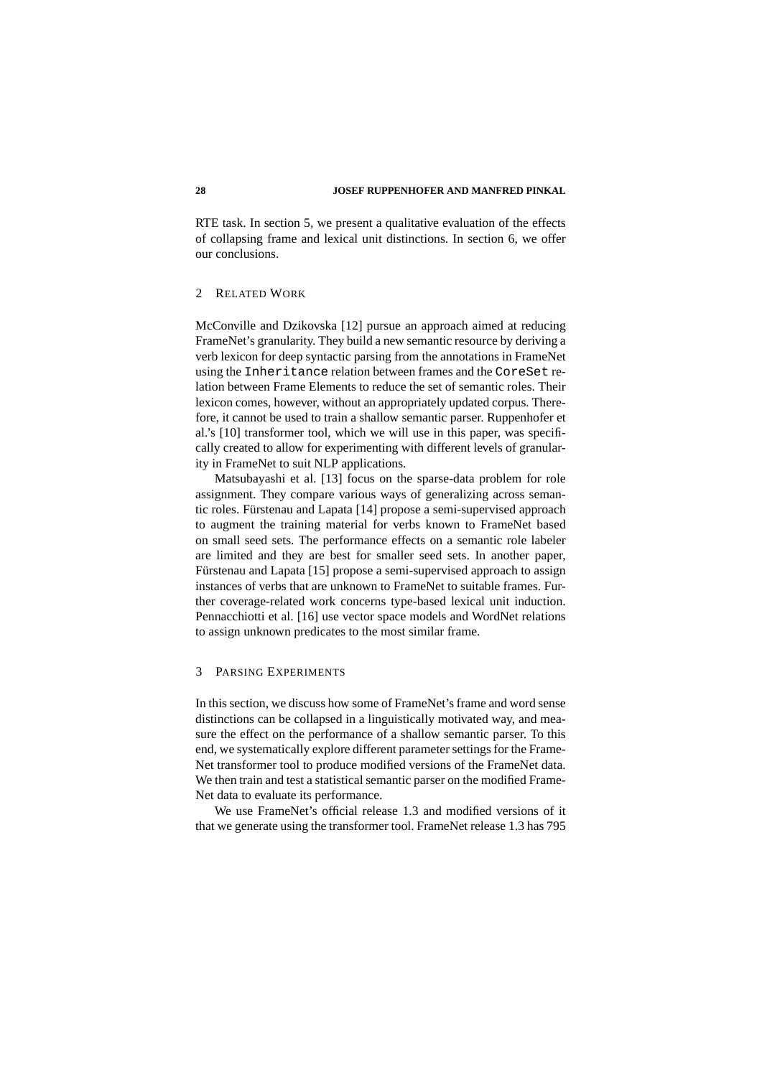RTE task. In section 5, we present a qualitative evaluation of the effects of collapsing frame and lexical unit distinctions. In section 6, we offer our conclusions.

# 2 RELATED WORK

McConville and Dzikovska [12] pursue an approach aimed at reducing FrameNet's granularity. They build a new semantic resource by deriving a verb lexicon for deep syntactic parsing from the annotations in FrameNet using the Inheritance relation between frames and the CoreSet relation between Frame Elements to reduce the set of semantic roles. Their lexicon comes, however, without an appropriately updated corpus. Therefore, it cannot be used to train a shallow semantic parser. Ruppenhofer et al.'s [10] transformer tool, which we will use in this paper, was specifically created to allow for experimenting with different levels of granularity in FrameNet to suit NLP applications.

Matsubayashi et al. [13] focus on the sparse-data problem for role assignment. They compare various ways of generalizing across semantic roles. Fürstenau and Lapata [14] propose a semi-supervised approach to augment the training material for verbs known to FrameNet based on small seed sets. The performance effects on a semantic role labeler are limited and they are best for smaller seed sets. In another paper, Fürstenau and Lapata [15] propose a semi-supervised approach to assign instances of verbs that are unknown to FrameNet to suitable frames. Further coverage-related work concerns type-based lexical unit induction. Pennacchiotti et al. [16] use vector space models and WordNet relations to assign unknown predicates to the most similar frame.

#### 3 PARSING EXPERIMENTS

In this section, we discuss how some of FrameNet's frame and word sense distinctions can be collapsed in a linguistically motivated way, and measure the effect on the performance of a shallow semantic parser. To this end, we systematically explore different parameter settings for the Frame-Net transformer tool to produce modified versions of the FrameNet data. We then train and test a statistical semantic parser on the modified Frame-Net data to evaluate its performance.

We use FrameNet's official release 1.3 and modified versions of it that we generate using the transformer tool. FrameNet release 1.3 has 795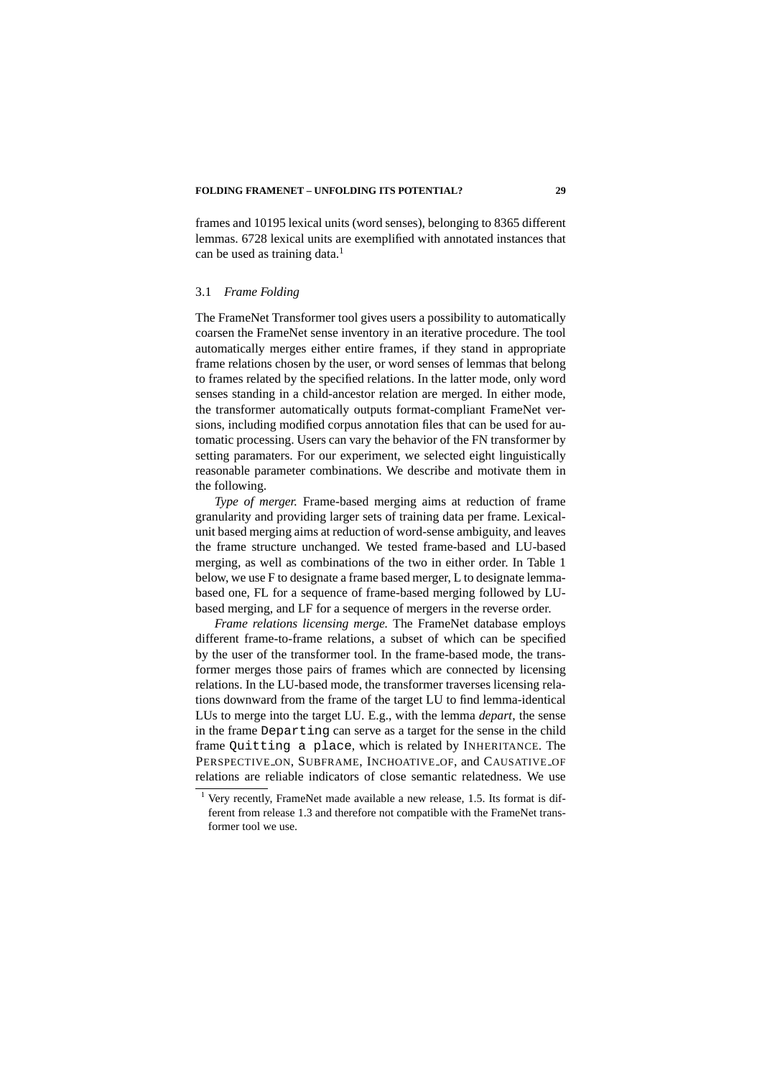frames and 10195 lexical units (word senses), belonging to 8365 different lemmas. 6728 lexical units are exemplified with annotated instances that can be used as training data. $<sup>1</sup>$ </sup>

# 3.1 *Frame Folding*

The FrameNet Transformer tool gives users a possibility to automatically coarsen the FrameNet sense inventory in an iterative procedure. The tool automatically merges either entire frames, if they stand in appropriate frame relations chosen by the user, or word senses of lemmas that belong to frames related by the specified relations. In the latter mode, only word senses standing in a child-ancestor relation are merged. In either mode, the transformer automatically outputs format-compliant FrameNet versions, including modified corpus annotation files that can be used for automatic processing. Users can vary the behavior of the FN transformer by setting paramaters. For our experiment, we selected eight linguistically reasonable parameter combinations. We describe and motivate them in the following.

*Type of merger.* Frame-based merging aims at reduction of frame granularity and providing larger sets of training data per frame. Lexicalunit based merging aims at reduction of word-sense ambiguity, and leaves the frame structure unchanged. We tested frame-based and LU-based merging, as well as combinations of the two in either order. In Table 1 below, we use F to designate a frame based merger, L to designate lemmabased one, FL for a sequence of frame-based merging followed by LUbased merging, and LF for a sequence of mergers in the reverse order.

*Frame relations licensing merge.* The FrameNet database employs different frame-to-frame relations, a subset of which can be specified by the user of the transformer tool. In the frame-based mode, the transformer merges those pairs of frames which are connected by licensing relations. In the LU-based mode, the transformer traverses licensing relations downward from the frame of the target LU to find lemma-identical LUs to merge into the target LU. E.g., with the lemma *depart*, the sense in the frame Departing can serve as a target for the sense in the child frame Quitting a place, which is related by INHERITANCE. The PERSPECTIVE ON, SUBFRAME, INCHOATIVE OF, and CAUSATIVE OF relations are reliable indicators of close semantic relatedness. We use

<sup>&</sup>lt;sup>1</sup> Very recently, FrameNet made available a new release, 1.5. Its format is different from release 1.3 and therefore not compatible with the FrameNet transformer tool we use.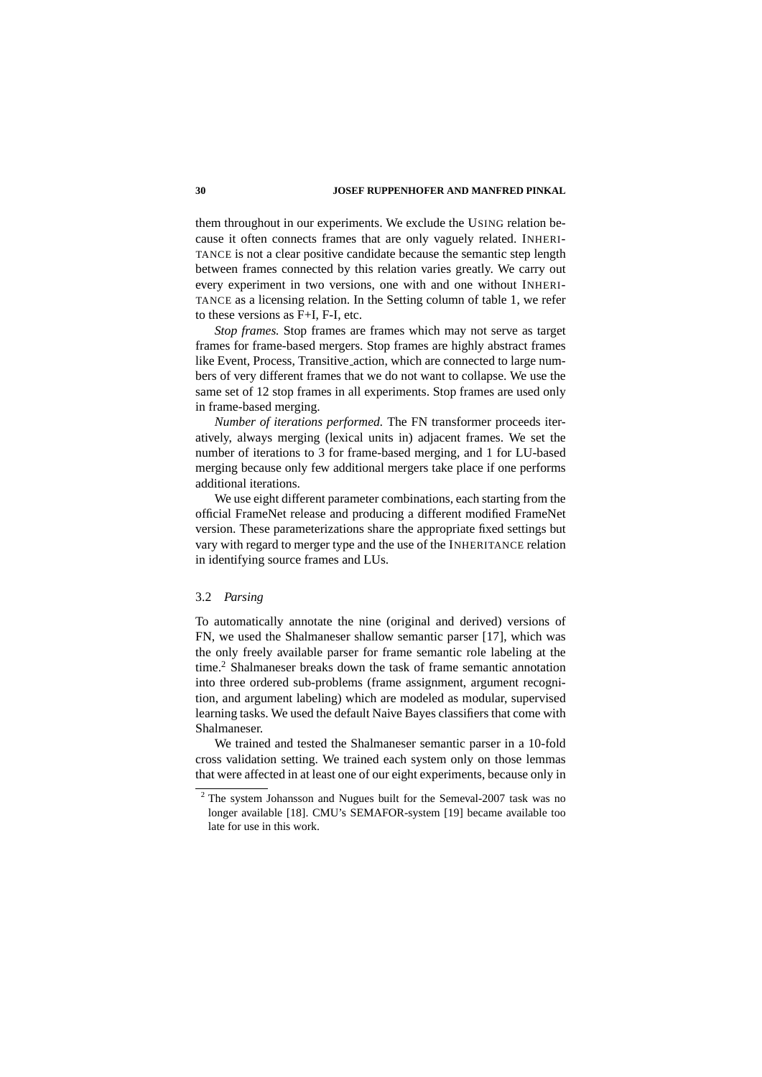them throughout in our experiments. We exclude the USING relation because it often connects frames that are only vaguely related. INHERI-TANCE is not a clear positive candidate because the semantic step length between frames connected by this relation varies greatly. We carry out every experiment in two versions, one with and one without INHERI-TANCE as a licensing relation. In the Setting column of table 1, we refer to these versions as F+I, F-I, etc.

*Stop frames.* Stop frames are frames which may not serve as target frames for frame-based mergers. Stop frames are highly abstract frames like Event, Process, Transitive action, which are connected to large numbers of very different frames that we do not want to collapse. We use the same set of 12 stop frames in all experiments. Stop frames are used only in frame-based merging.

*Number of iterations performed.* The FN transformer proceeds iteratively, always merging (lexical units in) adjacent frames. We set the number of iterations to 3 for frame-based merging, and 1 for LU-based merging because only few additional mergers take place if one performs additional iterations.

We use eight different parameter combinations, each starting from the official FrameNet release and producing a different modified FrameNet version. These parameterizations share the appropriate fixed settings but vary with regard to merger type and the use of the INHERITANCE relation in identifying source frames and LUs.

# 3.2 *Parsing*

To automatically annotate the nine (original and derived) versions of FN, we used the Shalmaneser shallow semantic parser [17], which was the only freely available parser for frame semantic role labeling at the time.<sup>2</sup> Shalmaneser breaks down the task of frame semantic annotation into three ordered sub-problems (frame assignment, argument recognition, and argument labeling) which are modeled as modular, supervised learning tasks. We used the default Naive Bayes classifiers that come with Shalmaneser.

We trained and tested the Shalmaneser semantic parser in a 10-fold cross validation setting. We trained each system only on those lemmas that were affected in at least one of our eight experiments, because only in

<sup>&</sup>lt;sup>2</sup> The system Johansson and Nugues built for the Semeval-2007 task was no longer available [18]. CMU's SEMAFOR-system [19] became available too late for use in this work.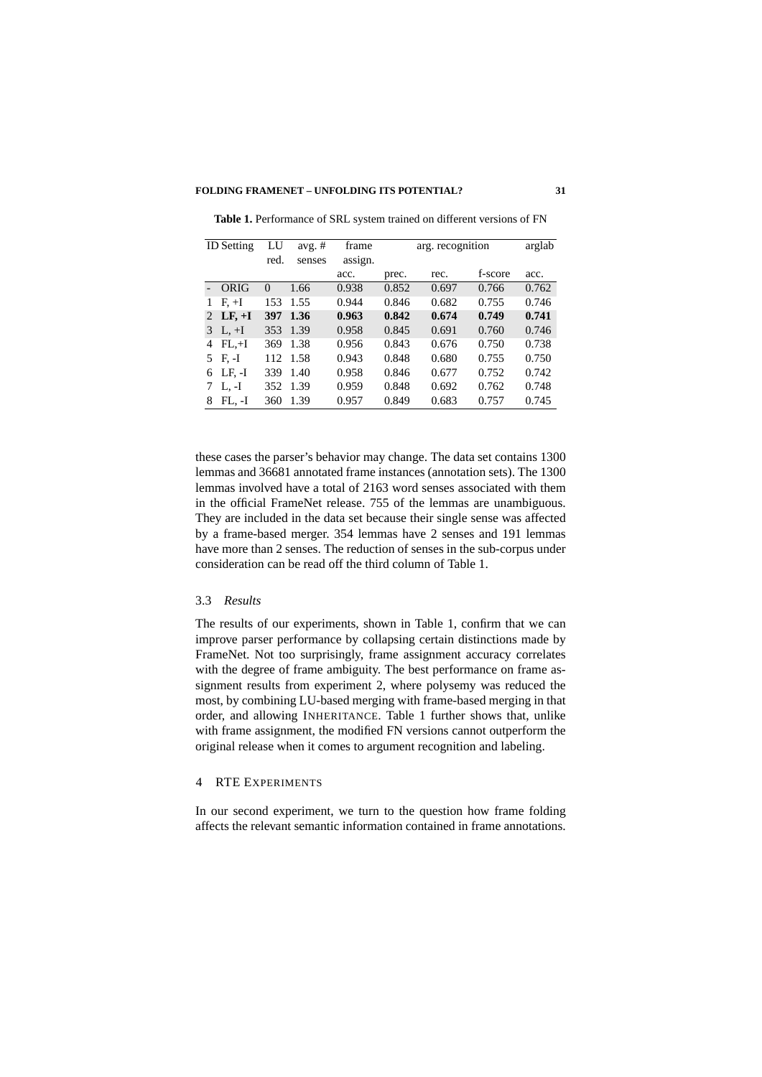| <b>ID</b> Setting |            | LU   | avg. $#$ | frame   | arg. recognition |       |         | arglab |
|-------------------|------------|------|----------|---------|------------------|-------|---------|--------|
|                   |            | red. | senses   | assign. |                  |       |         |        |
|                   |            |      |          | acc.    | prec.            | rec.  | f-score | acc.   |
|                   | ORIG       | 0    | 1.66     | 0.938   | 0.852            | 0.697 | 0.766   | 0.762  |
| 1                 | $F + I$    | 153  | 1.55     | 0.944   | 0.846            | 0.682 | 0.755   | 0.746  |
|                   | 2 LF, $+I$ | 397  | 1.36     | 0.963   | 0.842            | 0.674 | 0.749   | 0.741  |
| 3                 | $L, +I$    | 353  | 1.39     | 0.958   | 0.845            | 0.691 | 0.760   | 0.746  |
| 4                 | $FL+1$     | 369  | 1.38     | 0.956   | 0.843            | 0.676 | 0.750   | 0.738  |
|                   | 5 F.-I     | 112  | 1.58     | 0.943   | 0.848            | 0.680 | 0.755   | 0.750  |
| 6                 | LF. -I     | 339  | 1.40     | 0.958   | 0.846            | 0.677 | 0.752   | 0.742  |
|                   | $L, -I$    | 352  | 1.39     | 0.959   | 0.848            | 0.692 | 0.762   | 0.748  |
| 8                 | FL. -I     | 360  | 1.39     | 0.957   | 0.849            | 0.683 | 0.757   | 0.745  |

**Table 1.** Performance of SRL system trained on different versions of FN

these cases the parser's behavior may change. The data set contains 1300 lemmas and 36681 annotated frame instances (annotation sets). The 1300 lemmas involved have a total of 2163 word senses associated with them in the official FrameNet release. 755 of the lemmas are unambiguous. They are included in the data set because their single sense was affected by a frame-based merger. 354 lemmas have 2 senses and 191 lemmas have more than 2 senses. The reduction of senses in the sub-corpus under consideration can be read off the third column of Table 1.

# 3.3 *Results*

The results of our experiments, shown in Table 1, confirm that we can improve parser performance by collapsing certain distinctions made by FrameNet. Not too surprisingly, frame assignment accuracy correlates with the degree of frame ambiguity. The best performance on frame assignment results from experiment 2, where polysemy was reduced the most, by combining LU-based merging with frame-based merging in that order, and allowing INHERITANCE. Table 1 further shows that, unlike with frame assignment, the modified FN versions cannot outperform the original release when it comes to argument recognition and labeling.

# 4 RTE EXPERIMENTS

In our second experiment, we turn to the question how frame folding affects the relevant semantic information contained in frame annotations.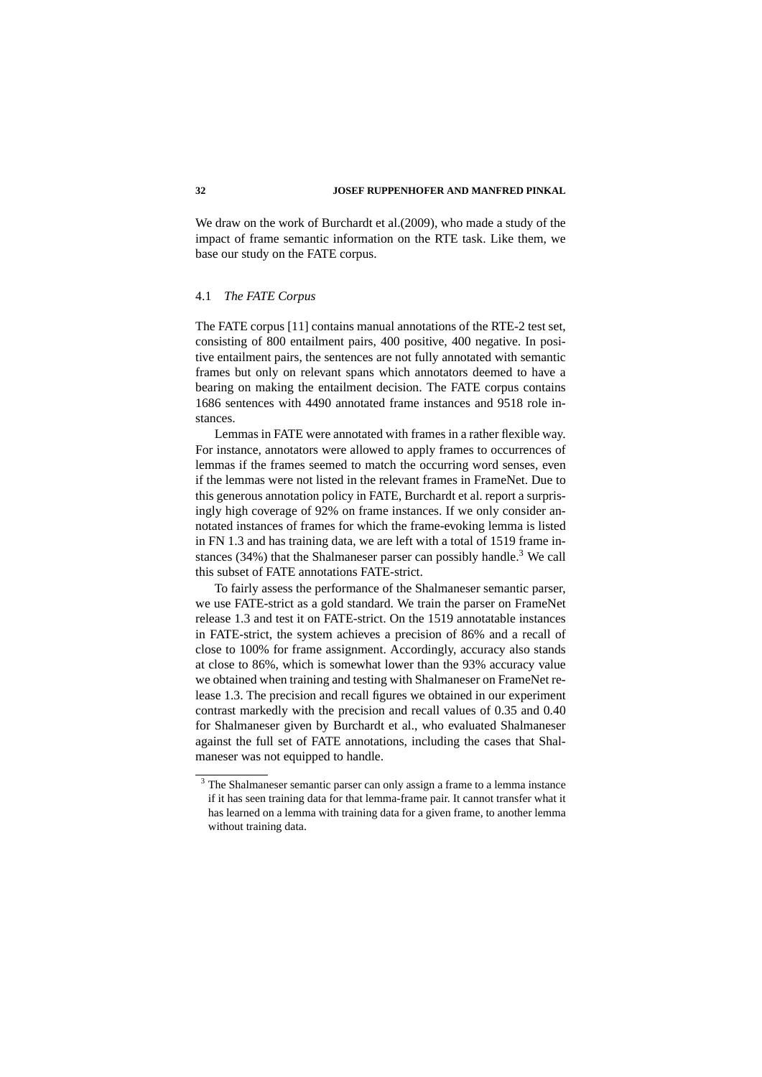We draw on the work of Burchardt et al.(2009), who made a study of the impact of frame semantic information on the RTE task. Like them, we base our study on the FATE corpus.

#### 4.1 *The FATE Corpus*

The FATE corpus [11] contains manual annotations of the RTE-2 test set, consisting of 800 entailment pairs, 400 positive, 400 negative. In positive entailment pairs, the sentences are not fully annotated with semantic frames but only on relevant spans which annotators deemed to have a bearing on making the entailment decision. The FATE corpus contains 1686 sentences with 4490 annotated frame instances and 9518 role instances.

Lemmas in FATE were annotated with frames in a rather flexible way. For instance, annotators were allowed to apply frames to occurrences of lemmas if the frames seemed to match the occurring word senses, even if the lemmas were not listed in the relevant frames in FrameNet. Due to this generous annotation policy in FATE, Burchardt et al. report a surprisingly high coverage of 92% on frame instances. If we only consider annotated instances of frames for which the frame-evoking lemma is listed in FN 1.3 and has training data, we are left with a total of 1519 frame instances  $(34%)$  that the Shalmaneser parser can possibly handle.<sup>3</sup> We call this subset of FATE annotations FATE-strict.

To fairly assess the performance of the Shalmaneser semantic parser, we use FATE-strict as a gold standard. We train the parser on FrameNet release 1.3 and test it on FATE-strict. On the 1519 annotatable instances in FATE-strict, the system achieves a precision of 86% and a recall of close to 100% for frame assignment. Accordingly, accuracy also stands at close to 86%, which is somewhat lower than the 93% accuracy value we obtained when training and testing with Shalmaneser on FrameNet release 1.3. The precision and recall figures we obtained in our experiment contrast markedly with the precision and recall values of 0.35 and 0.40 for Shalmaneser given by Burchardt et al., who evaluated Shalmaneser against the full set of FATE annotations, including the cases that Shalmaneser was not equipped to handle.

<sup>&</sup>lt;sup>3</sup> The Shalmaneser semantic parser can only assign a frame to a lemma instance if it has seen training data for that lemma-frame pair. It cannot transfer what it has learned on a lemma with training data for a given frame, to another lemma without training data.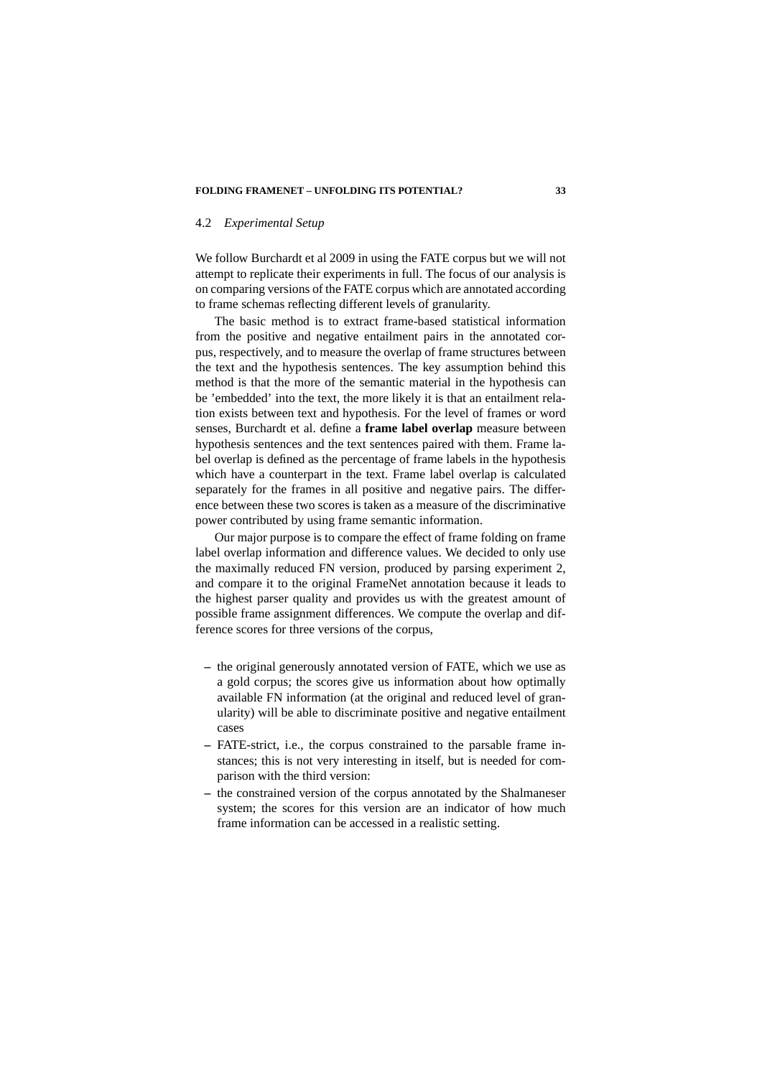# 4.2 *Experimental Setup*

We follow Burchardt et al 2009 in using the FATE corpus but we will not attempt to replicate their experiments in full. The focus of our analysis is on comparing versions of the FATE corpus which are annotated according to frame schemas reflecting different levels of granularity.

The basic method is to extract frame-based statistical information from the positive and negative entailment pairs in the annotated corpus, respectively, and to measure the overlap of frame structures between the text and the hypothesis sentences. The key assumption behind this method is that the more of the semantic material in the hypothesis can be 'embedded' into the text, the more likely it is that an entailment relation exists between text and hypothesis. For the level of frames or word senses, Burchardt et al. define a **frame label overlap** measure between hypothesis sentences and the text sentences paired with them. Frame label overlap is defined as the percentage of frame labels in the hypothesis which have a counterpart in the text. Frame label overlap is calculated separately for the frames in all positive and negative pairs. The difference between these two scores is taken as a measure of the discriminative power contributed by using frame semantic information.

Our major purpose is to compare the effect of frame folding on frame label overlap information and difference values. We decided to only use the maximally reduced FN version, produced by parsing experiment 2, and compare it to the original FrameNet annotation because it leads to the highest parser quality and provides us with the greatest amount of possible frame assignment differences. We compute the overlap and difference scores for three versions of the corpus,

- **–** the original generously annotated version of FATE, which we use as a gold corpus; the scores give us information about how optimally available FN information (at the original and reduced level of granularity) will be able to discriminate positive and negative entailment cases
- **–** FATE-strict, i.e., the corpus constrained to the parsable frame instances; this is not very interesting in itself, but is needed for comparison with the third version:
- **–** the constrained version of the corpus annotated by the Shalmaneser system; the scores for this version are an indicator of how much frame information can be accessed in a realistic setting.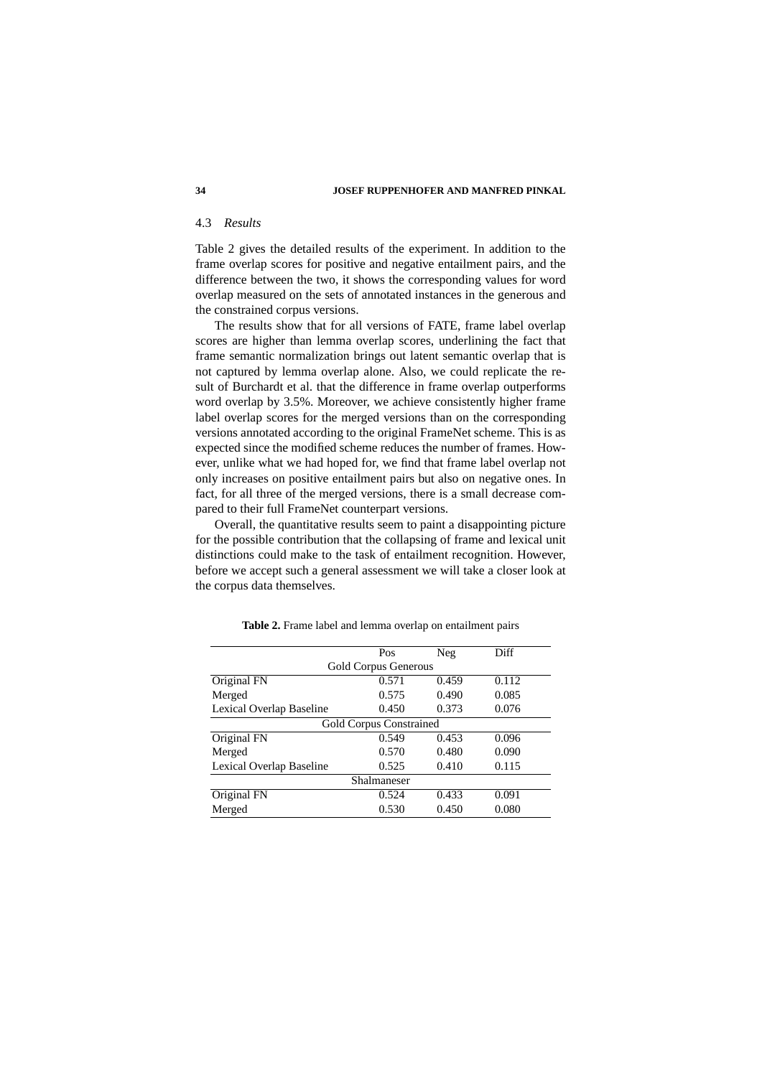# 4.3 *Results*

Table 2 gives the detailed results of the experiment. In addition to the frame overlap scores for positive and negative entailment pairs, and the difference between the two, it shows the corresponding values for word overlap measured on the sets of annotated instances in the generous and the constrained corpus versions.

The results show that for all versions of FATE, frame label overlap scores are higher than lemma overlap scores, underlining the fact that frame semantic normalization brings out latent semantic overlap that is not captured by lemma overlap alone. Also, we could replicate the result of Burchardt et al. that the difference in frame overlap outperforms word overlap by 3.5%. Moreover, we achieve consistently higher frame label overlap scores for the merged versions than on the corresponding versions annotated according to the original FrameNet scheme. This is as expected since the modified scheme reduces the number of frames. However, unlike what we had hoped for, we find that frame label overlap not only increases on positive entailment pairs but also on negative ones. In fact, for all three of the merged versions, there is a small decrease compared to their full FrameNet counterpart versions.

Overall, the quantitative results seem to paint a disappointing picture for the possible contribution that the collapsing of frame and lexical unit distinctions could make to the task of entailment recognition. However, before we accept such a general assessment we will take a closer look at the corpus data themselves.

|                          | Pos                            | Neg   | Diff  |  |  |  |  |  |  |  |
|--------------------------|--------------------------------|-------|-------|--|--|--|--|--|--|--|
| Gold Corpus Generous     |                                |       |       |  |  |  |  |  |  |  |
| Original FN              | 0.571                          | 0.459 | 0.112 |  |  |  |  |  |  |  |
| Merged                   | 0.575                          | 0.490 | 0.085 |  |  |  |  |  |  |  |
| Lexical Overlap Baseline | 0.450                          | 0.373 | 0.076 |  |  |  |  |  |  |  |
|                          | <b>Gold Corpus Constrained</b> |       |       |  |  |  |  |  |  |  |
| Original FN              | 0.549                          | 0.453 | 0.096 |  |  |  |  |  |  |  |
| Merged                   | 0.570                          | 0.480 | 0.090 |  |  |  |  |  |  |  |
| Lexical Overlap Baseline | 0.525                          | 0.410 | 0.115 |  |  |  |  |  |  |  |
| Shalmaneser              |                                |       |       |  |  |  |  |  |  |  |
| Original FN              | 0.524                          | 0.433 | 0.091 |  |  |  |  |  |  |  |
| Merged                   | 0.530                          | 0.450 | 0.080 |  |  |  |  |  |  |  |

**Table 2.** Frame label and lemma overlap on entailment pairs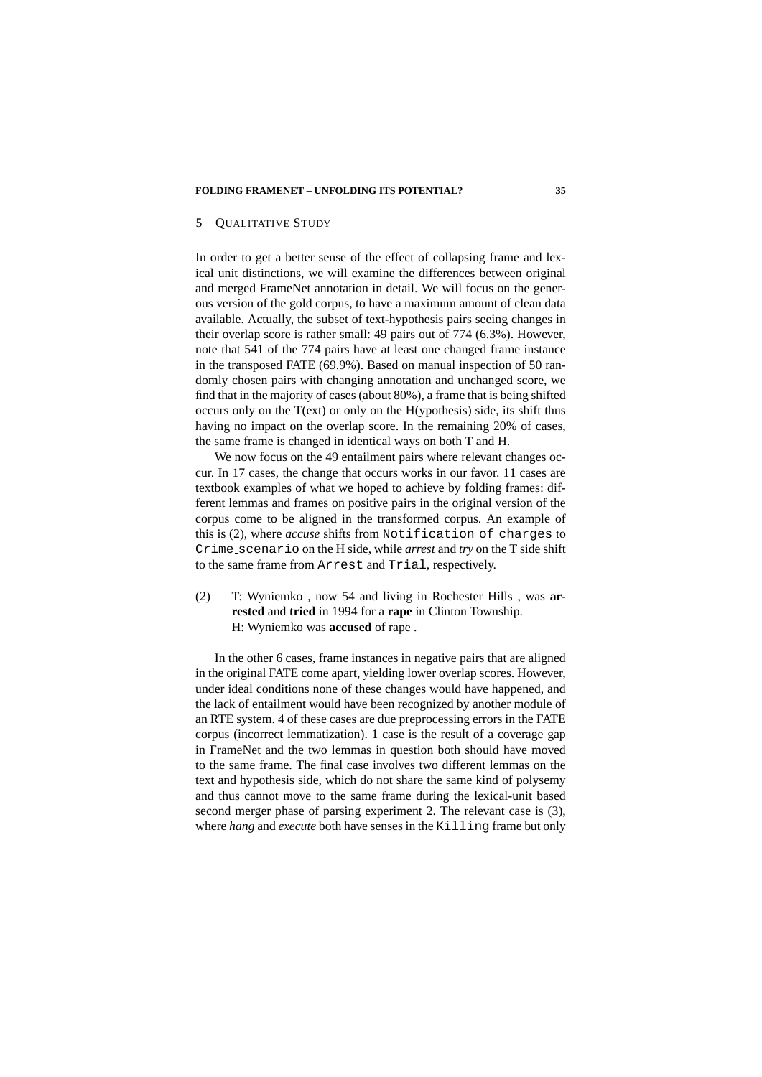#### 5 QUALITATIVE STUDY

In order to get a better sense of the effect of collapsing frame and lexical unit distinctions, we will examine the differences between original and merged FrameNet annotation in detail. We will focus on the generous version of the gold corpus, to have a maximum amount of clean data available. Actually, the subset of text-hypothesis pairs seeing changes in their overlap score is rather small: 49 pairs out of 774 (6.3%). However, note that 541 of the 774 pairs have at least one changed frame instance in the transposed FATE (69.9%). Based on manual inspection of 50 randomly chosen pairs with changing annotation and unchanged score, we find that in the majority of cases (about 80%), a frame that is being shifted occurs only on the T(ext) or only on the H(ypothesis) side, its shift thus having no impact on the overlap score. In the remaining 20% of cases, the same frame is changed in identical ways on both T and H.

We now focus on the 49 entailment pairs where relevant changes occur. In 17 cases, the change that occurs works in our favor. 11 cases are textbook examples of what we hoped to achieve by folding frames: different lemmas and frames on positive pairs in the original version of the corpus come to be aligned in the transformed corpus. An example of this is (2), where *accuse* shifts from Notification of charges to Crime scenario on the H side, while *arrest* and *try* on the T side shift to the same frame from Arrest and Trial, respectively.

# (2) T: Wyniemko , now 54 and living in Rochester Hills , was **arrested** and **tried** in 1994 for a **rape** in Clinton Township. H: Wyniemko was **accused** of rape .

In the other 6 cases, frame instances in negative pairs that are aligned in the original FATE come apart, yielding lower overlap scores. However, under ideal conditions none of these changes would have happened, and the lack of entailment would have been recognized by another module of an RTE system. 4 of these cases are due preprocessing errors in the FATE corpus (incorrect lemmatization). 1 case is the result of a coverage gap in FrameNet and the two lemmas in question both should have moved to the same frame. The final case involves two different lemmas on the text and hypothesis side, which do not share the same kind of polysemy and thus cannot move to the same frame during the lexical-unit based second merger phase of parsing experiment 2. The relevant case is (3), where *hang* and *execute* both have senses in the Killing frame but only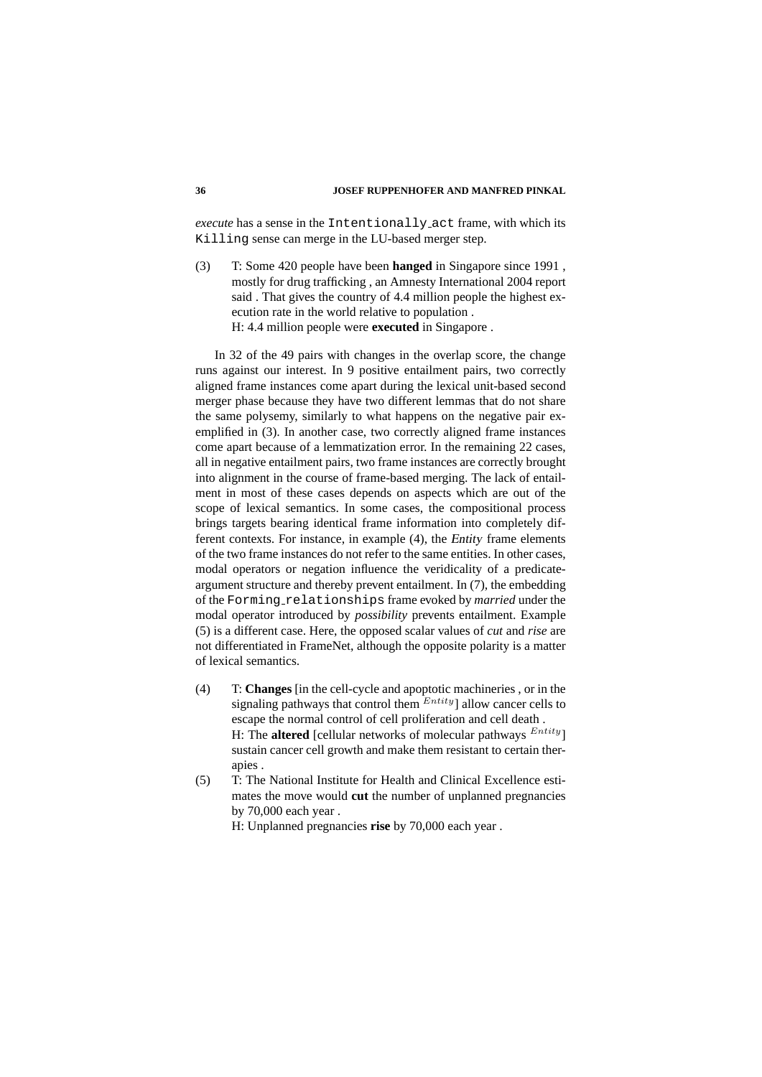*execute* has a sense in the Intentionally act frame, with which its Killing sense can merge in the LU-based merger step.

(3) T: Some 420 people have been **hanged** in Singapore since 1991 , mostly for drug trafficking , an Amnesty International 2004 report said . That gives the country of 4.4 million people the highest execution rate in the world relative to population . H: 4.4 million people were **executed** in Singapore .

In 32 of the 49 pairs with changes in the overlap score, the change runs against our interest. In 9 positive entailment pairs, two correctly aligned frame instances come apart during the lexical unit-based second merger phase because they have two different lemmas that do not share the same polysemy, similarly to what happens on the negative pair exemplified in (3). In another case, two correctly aligned frame instances come apart because of a lemmatization error. In the remaining 22 cases, all in negative entailment pairs, two frame instances are correctly brought into alignment in the course of frame-based merging. The lack of entailment in most of these cases depends on aspects which are out of the scope of lexical semantics. In some cases, the compositional process brings targets bearing identical frame information into completely different contexts. For instance, in example (4), the Entity frame elements of the two frame instances do not refer to the same entities. In other cases, modal operators or negation influence the veridicality of a predicateargument structure and thereby prevent entailment. In (7), the embedding of the Forming relationships frame evoked by *married* under the modal operator introduced by *possibility* prevents entailment. Example (5) is a different case. Here, the opposed scalar values of *cut* and *rise* are not differentiated in FrameNet, although the opposite polarity is a matter of lexical semantics.

- (4) T: **Changes** [in the cell-cycle and apoptotic machineries , or in the signaling pathways that control them  $^{Entity}$ ] allow cancer cells to escape the normal control of cell proliferation and cell death . H: The **altered** [cellular networks of molecular pathways  $^{Entity}$ ] sustain cancer cell growth and make them resistant to certain therapies .
- (5) T: The National Institute for Health and Clinical Excellence estimates the move would **cut** the number of unplanned pregnancies by 70,000 each year .

H: Unplanned pregnancies **rise** by 70,000 each year .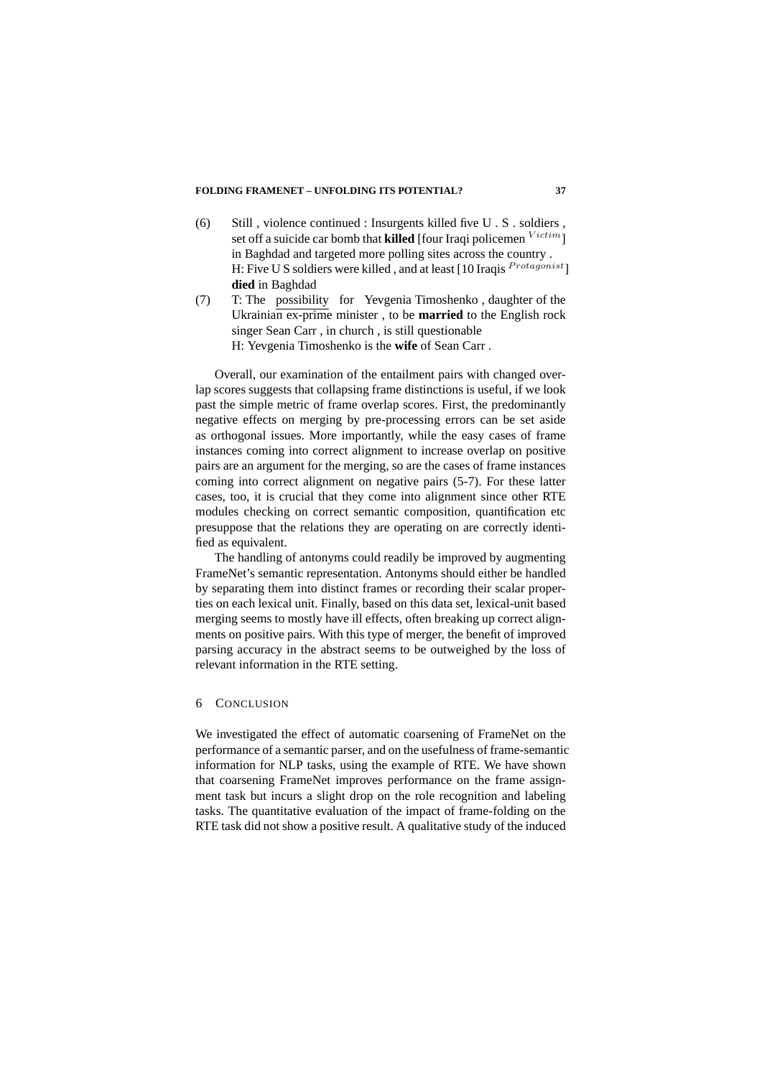- (6) Still , violence continued : Insurgents killed five U . S . soldiers , set off a suicide car bomb that **killed** [four Iraqi policemen  $V^{ictim}$ ] in Baghdad and targeted more polling sites across the country . H: Five U S soldiers were killed, and at least [10 Iraqis Protagonist] **died** in Baghdad
- (7) T: The possibility for Yevgenia Timoshenko , daughter of the Ukrainian ex-prime minister , to be **married** to the English rock singer Sean Carr , in church , is still questionable H: Yevgenia Timoshenko is the **wife** of Sean Carr .

Overall, our examination of the entailment pairs with changed overlap scores suggests that collapsing frame distinctions is useful, if we look past the simple metric of frame overlap scores. First, the predominantly negative effects on merging by pre-processing errors can be set aside as orthogonal issues. More importantly, while the easy cases of frame instances coming into correct alignment to increase overlap on positive pairs are an argument for the merging, so are the cases of frame instances coming into correct alignment on negative pairs (5-7). For these latter cases, too, it is crucial that they come into alignment since other RTE modules checking on correct semantic composition, quantification etc presuppose that the relations they are operating on are correctly identified as equivalent.

The handling of antonyms could readily be improved by augmenting FrameNet's semantic representation. Antonyms should either be handled by separating them into distinct frames or recording their scalar properties on each lexical unit. Finally, based on this data set, lexical-unit based merging seems to mostly have ill effects, often breaking up correct alignments on positive pairs. With this type of merger, the benefit of improved parsing accuracy in the abstract seems to be outweighed by the loss of relevant information in the RTE setting.

### 6 CONCLUSION

We investigated the effect of automatic coarsening of FrameNet on the performance of a semantic parser, and on the usefulness of frame-semantic information for NLP tasks, using the example of RTE. We have shown that coarsening FrameNet improves performance on the frame assignment task but incurs a slight drop on the role recognition and labeling tasks. The quantitative evaluation of the impact of frame-folding on the RTE task did not show a positive result. A qualitative study of the induced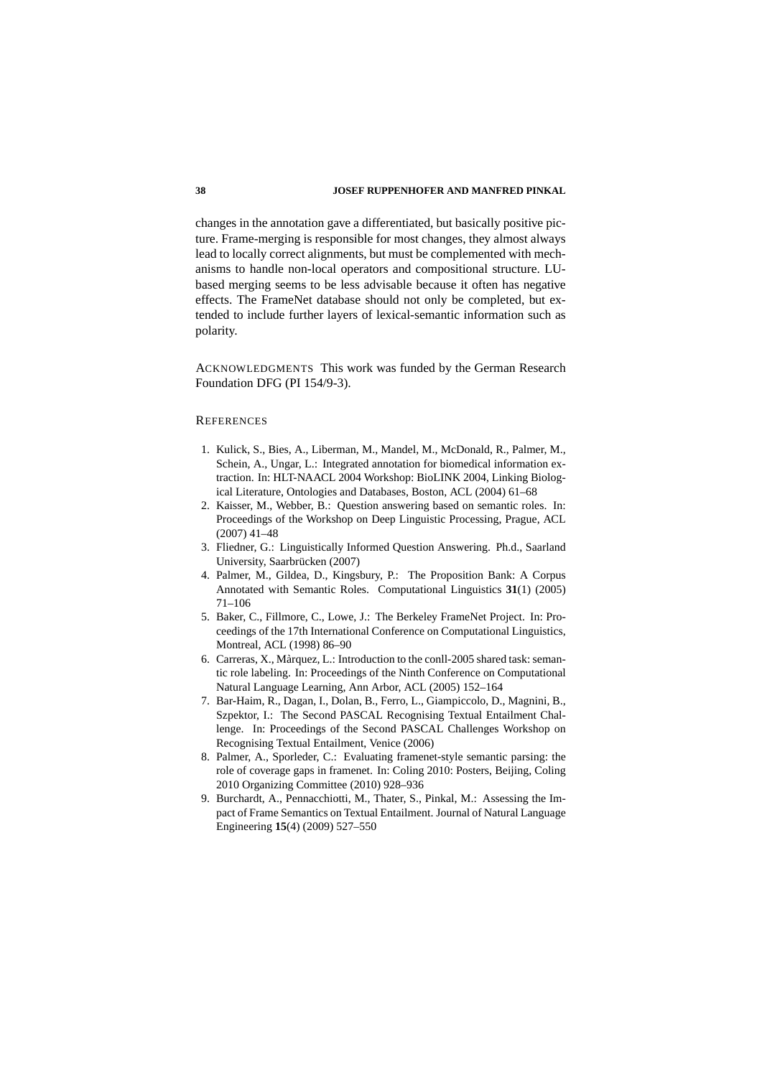changes in the annotation gave a differentiated, but basically positive picture. Frame-merging is responsible for most changes, they almost always lead to locally correct alignments, but must be complemented with mechanisms to handle non-local operators and compositional structure. LUbased merging seems to be less advisable because it often has negative effects. The FrameNet database should not only be completed, but extended to include further layers of lexical-semantic information such as polarity.

ACKNOWLEDGMENTS This work was funded by the German Research Foundation DFG (PI 154/9-3).

#### **REFERENCES**

- 1. Kulick, S., Bies, A., Liberman, M., Mandel, M., McDonald, R., Palmer, M., Schein, A., Ungar, L.: Integrated annotation for biomedical information extraction. In: HLT-NAACL 2004 Workshop: BioLINK 2004, Linking Biological Literature, Ontologies and Databases, Boston, ACL (2004) 61–68
- 2. Kaisser, M., Webber, B.: Question answering based on semantic roles. In: Proceedings of the Workshop on Deep Linguistic Processing, Prague, ACL (2007) 41–48
- 3. Fliedner, G.: Linguistically Informed Question Answering. Ph.d., Saarland University, Saarbrücken (2007)
- 4. Palmer, M., Gildea, D., Kingsbury, P.: The Proposition Bank: A Corpus Annotated with Semantic Roles. Computational Linguistics **31**(1) (2005) 71–106
- 5. Baker, C., Fillmore, C., Lowe, J.: The Berkeley FrameNet Project. In: Proceedings of the 17th International Conference on Computational Linguistics, Montreal, ACL (1998) 86–90
- 6. Carreras, X., Marquez, L.: Introduction to the conll-2005 shared task: seman- ` tic role labeling. In: Proceedings of the Ninth Conference on Computational Natural Language Learning, Ann Arbor, ACL (2005) 152–164
- 7. Bar-Haim, R., Dagan, I., Dolan, B., Ferro, L., Giampiccolo, D., Magnini, B., Szpektor, I.: The Second PASCAL Recognising Textual Entailment Challenge. In: Proceedings of the Second PASCAL Challenges Workshop on Recognising Textual Entailment, Venice (2006)
- 8. Palmer, A., Sporleder, C.: Evaluating framenet-style semantic parsing: the role of coverage gaps in framenet. In: Coling 2010: Posters, Beijing, Coling 2010 Organizing Committee (2010) 928–936
- 9. Burchardt, A., Pennacchiotti, M., Thater, S., Pinkal, M.: Assessing the Impact of Frame Semantics on Textual Entailment. Journal of Natural Language Engineering **15**(4) (2009) 527–550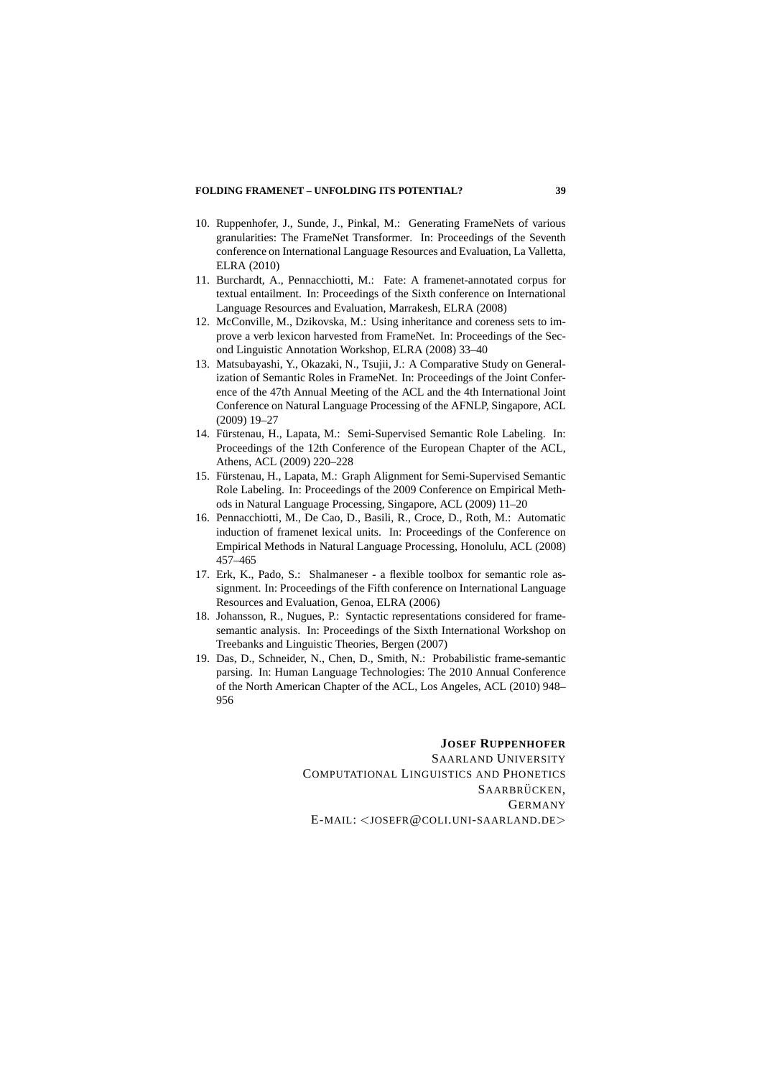- 10. Ruppenhofer, J., Sunde, J., Pinkal, M.: Generating FrameNets of various granularities: The FrameNet Transformer. In: Proceedings of the Seventh conference on International Language Resources and Evaluation, La Valletta, ELRA (2010)
- 11. Burchardt, A., Pennacchiotti, M.: Fate: A framenet-annotated corpus for textual entailment. In: Proceedings of the Sixth conference on International Language Resources and Evaluation, Marrakesh, ELRA (2008)
- 12. McConville, M., Dzikovska, M.: Using inheritance and coreness sets to improve a verb lexicon harvested from FrameNet. In: Proceedings of the Second Linguistic Annotation Workshop, ELRA (2008) 33–40
- 13. Matsubayashi, Y., Okazaki, N., Tsujii, J.: A Comparative Study on Generalization of Semantic Roles in FrameNet. In: Proceedings of the Joint Conference of the 47th Annual Meeting of the ACL and the 4th International Joint Conference on Natural Language Processing of the AFNLP, Singapore, ACL (2009) 19–27
- 14. Fürstenau, H., Lapata, M.: Semi-Supervised Semantic Role Labeling. In: Proceedings of the 12th Conference of the European Chapter of the ACL, Athens, ACL (2009) 220–228
- 15. Furstenau, H., Lapata, M.: Graph Alignment for Semi-Supervised Semantic ¨ Role Labeling. In: Proceedings of the 2009 Conference on Empirical Methods in Natural Language Processing, Singapore, ACL (2009) 11–20
- 16. Pennacchiotti, M., De Cao, D., Basili, R., Croce, D., Roth, M.: Automatic induction of framenet lexical units. In: Proceedings of the Conference on Empirical Methods in Natural Language Processing, Honolulu, ACL (2008) 457–465
- 17. Erk, K., Pado, S.: Shalmaneser a flexible toolbox for semantic role assignment. In: Proceedings of the Fifth conference on International Language Resources and Evaluation, Genoa, ELRA (2006)
- 18. Johansson, R., Nugues, P.: Syntactic representations considered for framesemantic analysis. In: Proceedings of the Sixth International Workshop on Treebanks and Linguistic Theories, Bergen (2007)
- 19. Das, D., Schneider, N., Chen, D., Smith, N.: Probabilistic frame-semantic parsing. In: Human Language Technologies: The 2010 Annual Conference of the North American Chapter of the ACL, Los Angeles, ACL (2010) 948– 956

**JOSEF RUPPENHOFER** SAARLAND UNIVERSITY COMPUTATIONAL LINGUISTICS AND PHONETICS SAARBRÜCKEN. GERMANY E-MAIL: <JOSEFR@COLI.UNI-SAARLAND.DE>